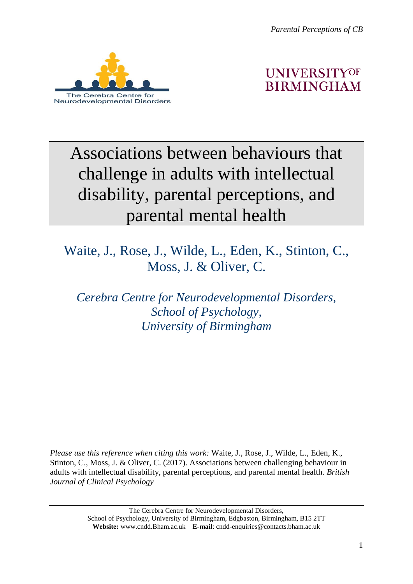*Parental Perceptions of CB*





# Associations between behaviours that challenge in adults with intellectual disability, parental perceptions, and parental mental health

## Waite, J., Rose, J., Wilde, L., Eden, K., Stinton, C., Moss, J. & Oliver, C.

*Cerebra Centre for Neurodevelopmental Disorders, School of Psychology, University of Birmingham*

*Please use this reference when citing this work:* Waite, J., Rose, J., Wilde, L., Eden, K., Stinton, C., Moss, J. & Oliver, C. (2017). Associations between challenging behaviour in adults with intellectual disability, parental perceptions, and parental mental health. *British Journal of Clinical Psychology*

> The Cerebra Centre for Neurodevelopmental Disorders, School of Psychology, University of Birmingham, Edgbaston, Birmingham, B15 2TT **Website:** www.cndd.Bham.ac.uk **E-mail**: cndd-enquiries@contacts.bham.ac.uk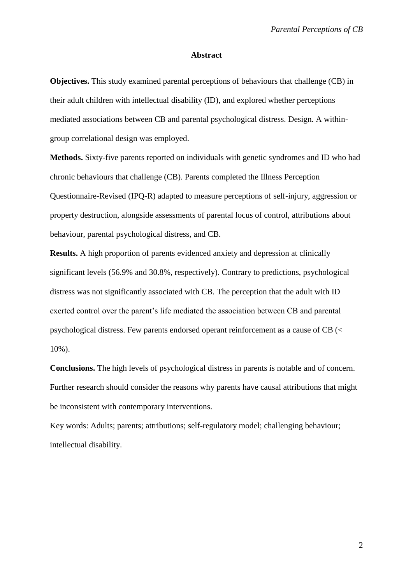#### **Abstract**

**Objectives.** This study examined parental perceptions of behaviours that challenge (CB) in their adult children with intellectual disability (ID), and explored whether perceptions mediated associations between CB and parental psychological distress. Design. A withingroup correlational design was employed.

**Methods.** Sixty-five parents reported on individuals with genetic syndromes and ID who had chronic behaviours that challenge (CB). Parents completed the Illness Perception Questionnaire-Revised (IPQ-R) adapted to measure perceptions of self-injury, aggression or property destruction, alongside assessments of parental locus of control, attributions about behaviour, parental psychological distress, and CB.

**Results.** A high proportion of parents evidenced anxiety and depression at clinically significant levels (56.9% and 30.8%, respectively). Contrary to predictions, psychological distress was not significantly associated with CB. The perception that the adult with ID exerted control over the parent's life mediated the association between CB and parental psychological distress. Few parents endorsed operant reinforcement as a cause of CB (< 10%).

**Conclusions.** The high levels of psychological distress in parents is notable and of concern. Further research should consider the reasons why parents have causal attributions that might be inconsistent with contemporary interventions.

Key words: Adults; parents; attributions; self-regulatory model; challenging behaviour; intellectual disability.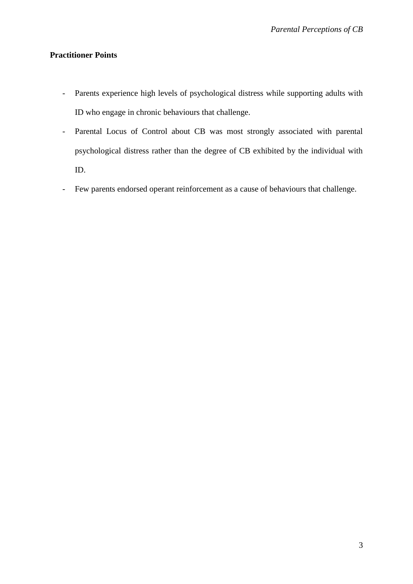## **Practitioner Points**

- Parents experience high levels of psychological distress while supporting adults with ID who engage in chronic behaviours that challenge.
- Parental Locus of Control about CB was most strongly associated with parental psychological distress rather than the degree of CB exhibited by the individual with ID.
- Few parents endorsed operant reinforcement as a cause of behaviours that challenge.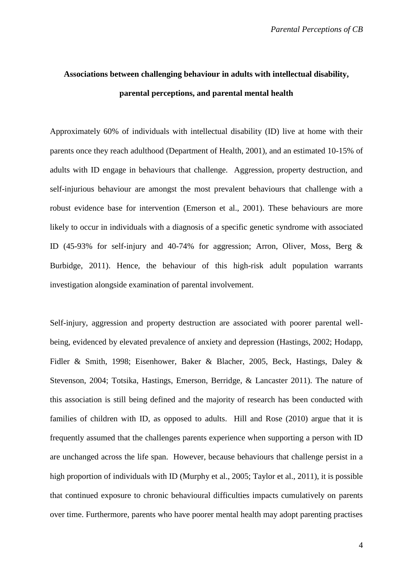## **Associations between challenging behaviour in adults with intellectual disability, parental perceptions, and parental mental health**

Approximately 60% of individuals with intellectual disability (ID) live at home with their parents once they reach adulthood (Department of Health, 2001), and an estimated 10-15% of adults with ID engage in behaviours that challenge. Aggression, property destruction, and self-injurious behaviour are amongst the most prevalent behaviours that challenge with a robust evidence base for intervention (Emerson et al., 2001). These behaviours are more likely to occur in individuals with a diagnosis of a specific genetic syndrome with associated ID (45-93% for self-injury and 40-74% for aggression; Arron, Oliver, Moss, Berg & Burbidge, 2011). Hence, the behaviour of this high-risk adult population warrants investigation alongside examination of parental involvement.

Self-injury, aggression and property destruction are associated with poorer parental wellbeing, evidenced by elevated prevalence of anxiety and depression (Hastings, 2002; Hodapp, Fidler & Smith, 1998; Eisenhower, Baker & Blacher, 2005, Beck, Hastings, Daley & Stevenson, 2004; Totsika, Hastings, Emerson, Berridge, & Lancaster 2011). The nature of this association is still being defined and the majority of research has been conducted with families of children with ID, as opposed to adults. Hill and Rose (2010) argue that it is frequently assumed that the challenges parents experience when supporting a person with ID are unchanged across the life span. However, because behaviours that challenge persist in a high proportion of individuals with ID (Murphy et al., 2005; Taylor et al., 2011), it is possible that continued exposure to chronic behavioural difficulties impacts cumulatively on parents over time. Furthermore, parents who have poorer mental health may adopt parenting practises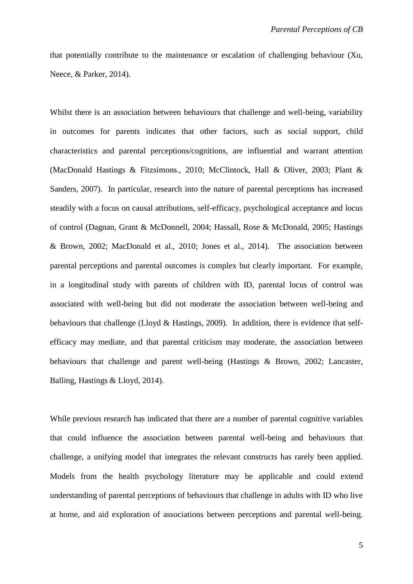that potentially contribute to the maintenance or escalation of challenging behaviour (Xu, Neece, & Parker, 2014).

Whilst there is an association between behaviours that challenge and well-being, variability in outcomes for parents indicates that other factors, such as social support, child characteristics and parental perceptions/cognitions, are influential and warrant attention (MacDonald Hastings & Fitzsimons., 2010; McClintock, Hall & Oliver, 2003; Plant & Sanders, 2007). In particular, research into the nature of parental perceptions has increased steadily with a focus on causal attributions, self-efficacy, psychological acceptance and locus of control (Dagnan, Grant & McDonnell, 2004; Hassall, Rose & McDonald, 2005; Hastings & Brown, 2002; MacDonald et al., 2010; Jones et al., 2014). The association between parental perceptions and parental outcomes is complex but clearly important. For example, in a longitudinal study with parents of children with ID, parental locus of control was associated with well-being but did not moderate the association between well-being and behaviours that challenge (Lloyd & Hastings, 2009). In addition, there is evidence that selfefficacy may mediate, and that parental criticism may moderate, the association between behaviours that challenge and parent well-being (Hastings & Brown, 2002; Lancaster, Balling, Hastings & Lloyd, 2014).

While previous research has indicated that there are a number of parental cognitive variables that could influence the association between parental well-being and behaviours that challenge, a unifying model that integrates the relevant constructs has rarely been applied. Models from the health psychology literature may be applicable and could extend understanding of parental perceptions of behaviours that challenge in adults with ID who live at home, and aid exploration of associations between perceptions and parental well-being.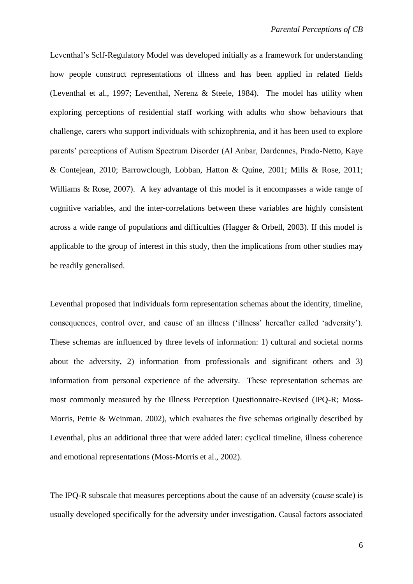Leventhal's Self-Regulatory Model was developed initially as a framework for understanding how people construct representations of illness and has been applied in related fields (Leventhal et al., 1997; Leventhal, Nerenz & Steele, 1984). The model has utility when exploring perceptions of residential staff working with adults who show behaviours that challenge, carers who support individuals with schizophrenia, and it has been used to explore parents' perceptions of Autism Spectrum Disorder (Al Anbar, Dardennes, Prado-Netto, Kaye & Contejean, 2010; Barrowclough, Lobban, Hatton & Quine, 2001; Mills & Rose, 2011; Williams & Rose, 2007). A key advantage of this model is it encompasses a wide range of cognitive variables, and the inter-correlations between these variables are highly consistent across a wide range of populations and difficulties (Hagger & Orbell, 2003). If this model is applicable to the group of interest in this study, then the implications from other studies may be readily generalised.

Leventhal proposed that individuals form representation schemas about the identity, timeline, consequences, control over, and cause of an illness ('illness' hereafter called 'adversity'). These schemas are influenced by three levels of information: 1) cultural and societal norms about the adversity, 2) information from professionals and significant others and 3) information from personal experience of the adversity. These representation schemas are most commonly measured by the Illness Perception Questionnaire-Revised (IPQ-R; Moss-Morris, Petrie & Weinman. 2002), which evaluates the five schemas originally described by Leventhal, plus an additional three that were added later: cyclical timeline, illness coherence and emotional representations (Moss-Morris et al., 2002).

The IPQ-R subscale that measures perceptions about the cause of an adversity (*cause* scale) is usually developed specifically for the adversity under investigation. Causal factors associated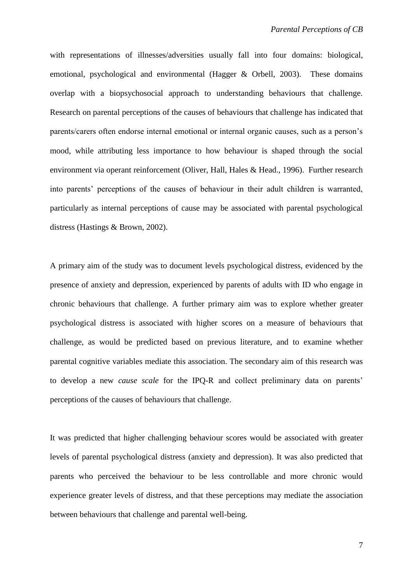with representations of illnesses/adversities usually fall into four domains: biological, emotional, psychological and environmental (Hagger & Orbell, 2003). These domains overlap with a biopsychosocial approach to understanding behaviours that challenge. Research on parental perceptions of the causes of behaviours that challenge has indicated that parents/carers often endorse internal emotional or internal organic causes, such as a person's mood, while attributing less importance to how behaviour is shaped through the social environment via operant reinforcement (Oliver, Hall, Hales & Head., 1996). Further research into parents' perceptions of the causes of behaviour in their adult children is warranted, particularly as internal perceptions of cause may be associated with parental psychological distress (Hastings & Brown, 2002).

A primary aim of the study was to document levels psychological distress, evidenced by the presence of anxiety and depression, experienced by parents of adults with ID who engage in chronic behaviours that challenge. A further primary aim was to explore whether greater psychological distress is associated with higher scores on a measure of behaviours that challenge, as would be predicted based on previous literature, and to examine whether parental cognitive variables mediate this association. The secondary aim of this research was to develop a new *cause scale* for the IPQ-R and collect preliminary data on parents' perceptions of the causes of behaviours that challenge.

It was predicted that higher challenging behaviour scores would be associated with greater levels of parental psychological distress (anxiety and depression). It was also predicted that parents who perceived the behaviour to be less controllable and more chronic would experience greater levels of distress, and that these perceptions may mediate the association between behaviours that challenge and parental well-being.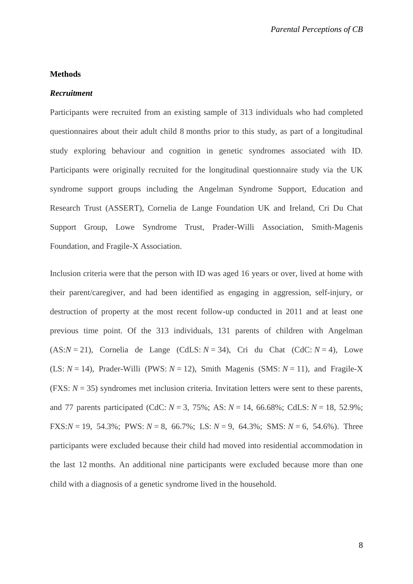### **Methods**

#### *Recruitment*

Participants were recruited from an existing sample of 313 individuals who had completed questionnaires about their adult child 8 months prior to this study, as part of a longitudinal study exploring behaviour and cognition in genetic syndromes associated with ID. Participants were originally recruited for the longitudinal questionnaire study via the UK syndrome support groups including the Angelman Syndrome Support, Education and Research Trust (ASSERT), Cornelia de Lange Foundation UK and Ireland, Cri Du Chat Support Group, Lowe Syndrome Trust, Prader-Willi Association, Smith-Magenis Foundation, and Fragile-X Association.

Inclusion criteria were that the person with ID was aged 16 years or over, lived at home with their parent/caregiver, and had been identified as engaging in aggression, self-injury, or destruction of property at the most recent follow-up conducted in 2011 and at least one previous time point. Of the 313 individuals, 131 parents of children with Angelman  $(AS:N = 21)$ , Cornelia de Lange  $(CdLS: N = 34)$ , Cri du Chat  $(CdC: N = 4)$ , Lowe (LS:  $N = 14$ ), Prader-Willi (PWS:  $N = 12$ ), Smith Magenis (SMS:  $N = 11$ ), and Fragile-X (FXS: *N* = 35) syndromes met inclusion criteria. Invitation letters were sent to these parents, and 77 parents participated (CdC: *N* = 3, 75%; AS: *N* = 14, 66.68%; CdLS: *N* = 18, 52.9%; FXS: $N = 19$ , 54.3%; PWS:  $N = 8$ , 66.7%; LS:  $N = 9$ , 64.3%; SMS:  $N = 6$ , 54.6%). Three participants were excluded because their child had moved into residential accommodation in the last 12 months. An additional nine participants were excluded because more than one child with a diagnosis of a genetic syndrome lived in the household.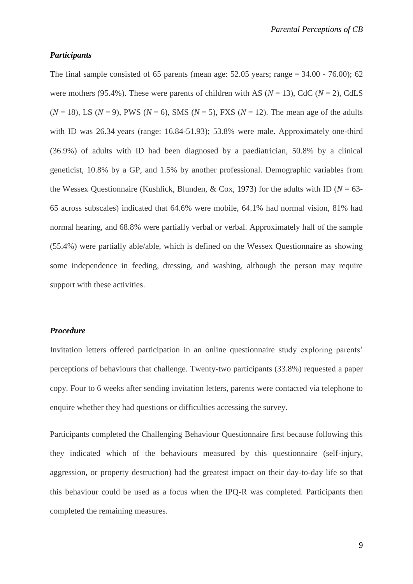#### *Participants*

The final sample consisted of 65 parents (mean age:  $52.05$  years; range  $= 34.00 - 76.00$ ); 62 were mothers (95.4%). These were parents of children with AS ( $N = 13$ ), CdC ( $N = 2$ ), CdLS  $(N = 18)$ , LS  $(N = 9)$ , PWS  $(N = 6)$ , SMS  $(N = 5)$ , FXS  $(N = 12)$ . The mean age of the adults with ID was 26.34 years (range: 16.84-51.93); 53.8% were male. Approximately one-third (36.9%) of adults with ID had been diagnosed by a paediatrician, 50.8% by a clinical geneticist, 10.8% by a GP, and 1.5% by another professional. Demographic variables from the Wessex Questionnaire (Kushlick, Blunden, & Cox, 1973) for the adults with ID ( $N = 63$ -65 across subscales) indicated that 64.6% were mobile, 64.1% had normal vision, 81% had normal hearing, and 68.8% were partially verbal or verbal. Approximately half of the sample (55.4%) were partially able/able, which is defined on the Wessex Questionnaire as showing some independence in feeding, dressing, and washing, although the person may require support with these activities.

### *Procedure*

Invitation letters offered participation in an online questionnaire study exploring parents' perceptions of behaviours that challenge. Twenty-two participants (33.8%) requested a paper copy. Four to 6 weeks after sending invitation letters, parents were contacted via telephone to enquire whether they had questions or difficulties accessing the survey.

Participants completed the Challenging Behaviour Questionnaire first because following this they indicated which of the behaviours measured by this questionnaire (self-injury, aggression, or property destruction) had the greatest impact on their day-to-day life so that this behaviour could be used as a focus when the IPQ-R was completed. Participants then completed the remaining measures.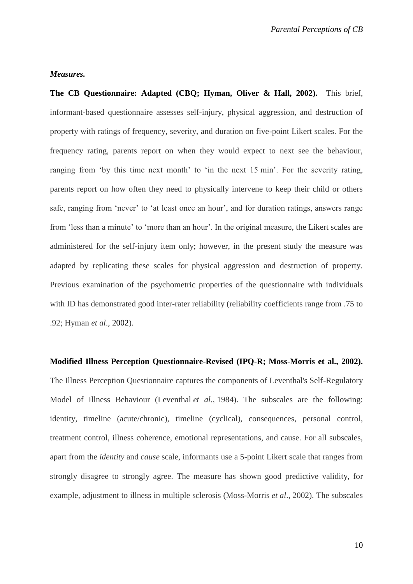#### *Measures.*

**The CB Questionnaire: Adapted (CBQ; Hyman, Oliver & Hall, 2002).**This brief, informant-based questionnaire assesses self-injury, physical aggression, and destruction of property with ratings of frequency, severity, and duration on five-point Likert scales. For the frequency rating, parents report on when they would expect to next see the behaviour, ranging from 'by this time next month' to 'in the next 15 min'. For the severity rating, parents report on how often they need to physically intervene to keep their child or others safe, ranging from 'never' to 'at least once an hour', and for duration ratings, answers range from 'less than a minute' to 'more than an hour'. In the original measure, the Likert scales are administered for the self-injury item only; however, in the present study the measure was adapted by replicating these scales for physical aggression and destruction of property. Previous examination of the psychometric properties of the questionnaire with individuals with ID has demonstrated good inter-rater reliability (reliability coefficients range from .75 to .92; Hyman *et al*., 2002).

**Modified Illness Perception Questionnaire-Revised (IPQ-R; Moss-Morris et al., 2002).** The Illness Perception Questionnaire captures the components of Leventhal's Self-Regulatory Model of Illness Behaviour (Leventhal *et al*., 1984). The subscales are the following: identity, timeline (acute/chronic), timeline (cyclical), consequences, personal control, treatment control, illness coherence, emotional representations, and cause. For all subscales, apart from the *identity* and *cause* scale, informants use a 5-point Likert scale that ranges from strongly disagree to strongly agree. The measure has shown good predictive validity, for example, adjustment to illness in multiple sclerosis (Moss-Morris *et al*., 2002). The subscales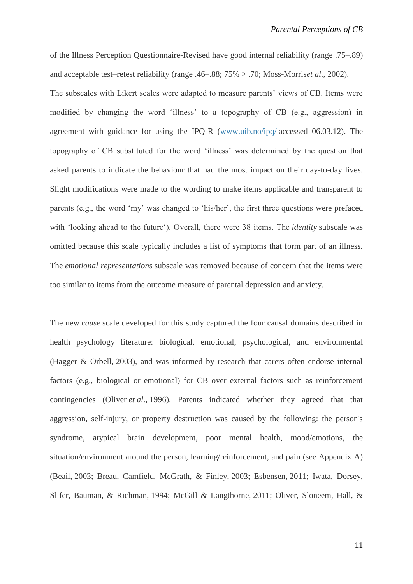of the Illness Perception Questionnaire-Revised have good internal reliability (range .75–.89) and acceptable test–retest reliability (range .46–.88; 75% > .70; Moss-Morris*et al*., 2002).

The subscales with Likert scales were adapted to measure parents' views of CB. Items were modified by changing the word 'illness' to a topography of CB (e.g., aggression) in agreement with guidance for using the IPQ-R [\(www.uib.no/ipq/](http://www.uib.no/ipq/) accessed 06.03.12). The topography of CB substituted for the word 'illness' was determined by the question that asked parents to indicate the behaviour that had the most impact on their day-to-day lives. Slight modifications were made to the wording to make items applicable and transparent to parents (e.g., the word 'my' was changed to 'his/her', the first three questions were prefaced with 'looking ahead to the future'). Overall, there were 38 items. The *identity* subscale was omitted because this scale typically includes a list of symptoms that form part of an illness. The *emotional representations* subscale was removed because of concern that the items were too similar to items from the outcome measure of parental depression and anxiety.

The new *cause* scale developed for this study captured the four causal domains described in health psychology literature: biological, emotional, psychological, and environmental (Hagger & Orbell, 2003), and was informed by research that carers often endorse internal factors (e.g., biological or emotional) for CB over external factors such as reinforcement contingencies (Oliver *et al*., 1996). Parents indicated whether they agreed that that aggression, self-injury, or property destruction was caused by the following: the person's syndrome, atypical brain development, poor mental health, mood/emotions, the situation/environment around the person, learning/reinforcement, and pain (see Appendix A) (Beail, 2003; Breau, Camfield, McGrath, & Finley, 2003; Esbensen, 2011; Iwata, Dorsey, Slifer, Bauman, & Richman, 1994; McGill & Langthorne, 2011; Oliver, Sloneem, Hall, &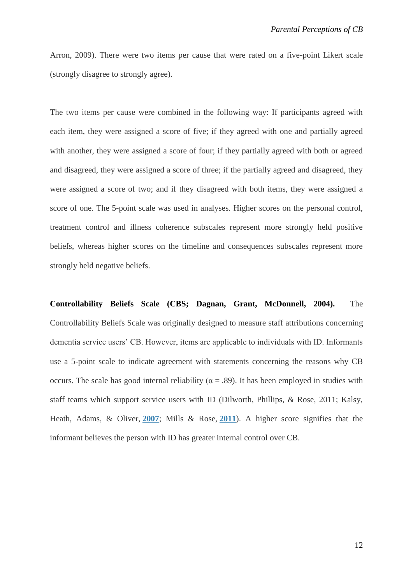Arron, 2009). There were two items per cause that were rated on a five-point Likert scale (strongly disagree to strongly agree).

The two items per cause were combined in the following way: If participants agreed with each item, they were assigned a score of five; if they agreed with one and partially agreed with another, they were assigned a score of four; if they partially agreed with both or agreed and disagreed, they were assigned a score of three; if the partially agreed and disagreed, they were assigned a score of two; and if they disagreed with both items, they were assigned a score of one. The 5-point scale was used in analyses. Higher scores on the personal control, treatment control and illness coherence subscales represent more strongly held positive beliefs, whereas higher scores on the timeline and consequences subscales represent more strongly held negative beliefs.

**Controllability Beliefs Scale (CBS; Dagnan, Grant, McDonnell, 2004).**The Controllability Beliefs Scale was originally designed to measure staff attributions concerning dementia service users' CB. However, items are applicable to individuals with ID. Informants use a 5-point scale to indicate agreement with statements concerning the reasons why CB occurs. The scale has good internal reliability ( $\alpha = .89$ ). It has been employed in studies with staff teams which support service users with ID (Dilworth, Phillips, & Rose, 2011; Kalsy, Heath, Adams, & Oliver, **[2007](http://onlinelibrary.wiley.com/doi/10.1111/bjc.12146/full#bjc12146-bib-0038)**; Mills & Rose, **[2011](http://onlinelibrary.wiley.com/doi/10.1111/bjc.12146/full#bjc12146-bib-0047)**). A higher score signifies that the informant believes the person with ID has greater internal control over CB.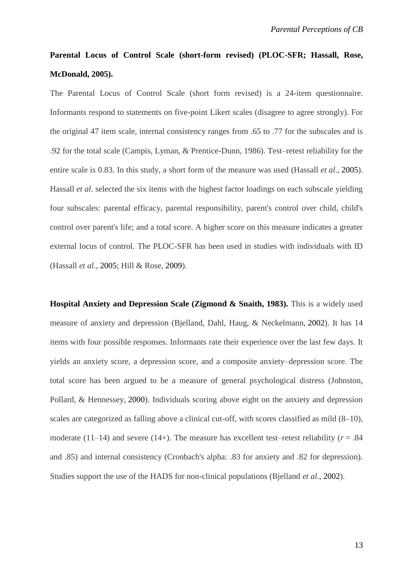## **Parental Locus of Control Scale (short-form revised) (PLOC-SFR; Hassall, Rose, McDonald, 2005).**

The Parental Locus of Control Scale (short form revised) is a 24-item questionnaire. Informants respond to statements on five-point Likert scales (disagree to agree strongly). For the original 47 item scale, internal consistency ranges from .65 to .77 for the subscales and is .92 for the total scale (Campis, Lyman, & Prentice-Dunn, 1986). Test–retest reliability for the entire scale is 0.83. In this study, a short form of the measure was used (Hassall *et al*., 2005). Hassall *et al*. selected the six items with the highest factor loadings on each subscale yielding four subscales: parental efficacy, parental responsibility, parent's control over child, child's control over parent's life; and a total score. A higher score on this measure indicates a greater external locus of control. The PLOC-SFR has been used in studies with individuals with ID (Hassall *et al*., 2005; Hill & Rose, 2009).

**Hospital Anxiety and Depression Scale (Zigmond & Snaith, 1983).** This is a widely used measure of anxiety and depression (Bjelland, Dahl, Haug, & Neckelmann, 2002). It has 14 items with four possible responses. Informants rate their experience over the last few days. It yields an anxiety score, a depression score, and a composite anxiety–depression score. The total score has been argued to be a measure of general psychological distress (Johnston, Pollard, & Hennessey, 2000). Individuals scoring above eight on the anxiety and depression scales are categorized as falling above a clinical cut-off, with scores classified as mild (8–10), moderate  $(11-14)$  and severe  $(14+)$ . The measure has excellent test–retest reliability ( $r = .84$ ) and .85) and internal consistency (Cronbach's alpha: .83 for anxiety and .82 for depression). Studies support the use of the HADS for non-clinical populations (Bjelland *et al*., 2002).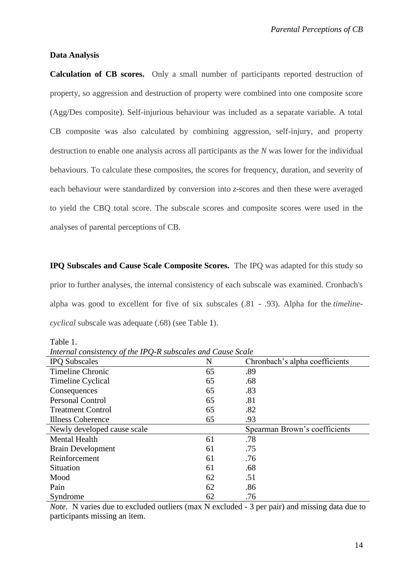#### **Data Analysis**

**Calculation of CB scores.** Only a small number of participants reported destruction of property, so aggression and destruction of property were combined into one composite score (Agg/Des composite). Self-injurious behaviour was included as a separate variable. A total CB composite was also calculated by combining aggression, self-injury, and property destruction to enable one analysis across all participants as the *N* was lower for the individual behaviours. To calculate these composites, the scores for frequency, duration, and severity of each behaviour were standardized by conversion into *z*-scores and then these were averaged to yield the CBQ total score. The subscale scores and composite scores were used in the analyses of parental perceptions of CB.

**IPQ Subscales and Cause Scale Composite Scores.**The IPQ was adapted for this study so prior to further analyses, the internal consistency of each subscale was examined. Cronbach's alpha was good to excellent for five of six subscales (.81 - .93). Alpha for the *timelinecyclical* subscale was adequate (.68) (see Table 1).

Table 1.

*Internal consistency of the IPQ-R subscales and Cause Scale*

| <b>IPQ</b> Subscales        | N  | Chronbach's alpha coefficients |
|-----------------------------|----|--------------------------------|
| <b>Timeline Chronic</b>     | 65 | .89                            |
| Timeline Cyclical           | 65 | .68                            |
| Consequences                | 65 | .83                            |
| <b>Personal Control</b>     | 65 | .81                            |
| <b>Treatment Control</b>    | 65 | .82                            |
| <b>Illness Coherence</b>    | 65 | .93                            |
| Newly developed cause scale |    | Spearman Brown's coefficients  |
| <b>Mental Health</b>        | 61 | .78                            |
| <b>Brain Development</b>    | 61 | .75                            |
| Reinforcement               | 61 | .76                            |
| <b>Situation</b>            | 61 | .68                            |
| Mood                        | 62 | .51                            |
| Pain                        | 62 | .86                            |
| Syndrome                    | 62 | .76                            |

*Note.* N varies due to excluded outliers (max N excluded - 3 per pair) and missing data due to participants missing an item.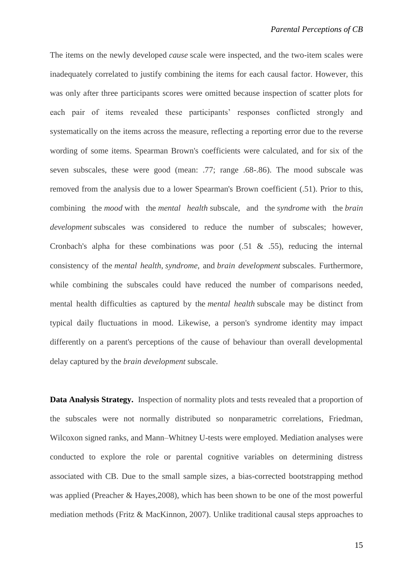The items on the newly developed *cause* scale were inspected, and the two-item scales were inadequately correlated to justify combining the items for each causal factor. However, this was only after three participants scores were omitted because inspection of scatter plots for each pair of items revealed these participants' responses conflicted strongly and systematically on the items across the measure, reflecting a reporting error due to the reverse wording of some items. Spearman Brown's coefficients were calculated, and for six of the seven subscales, these were good (mean: .77; range .68-.86). The mood subscale was removed from the analysis due to a lower Spearman's Brown coefficient (.51). Prior to this, combining the *mood* with the *mental health* subscale, and the *syndrome* with the *brain development* subscales was considered to reduce the number of subscales; however, Cronbach's alpha for these combinations was poor  $(.51 \& .55)$ , reducing the internal consistency of the *mental health*, *syndrome*, and *brain development* subscales. Furthermore, while combining the subscales could have reduced the number of comparisons needed, mental health difficulties as captured by the *mental health* subscale may be distinct from typical daily fluctuations in mood. Likewise, a person's syndrome identity may impact differently on a parent's perceptions of the cause of behaviour than overall developmental delay captured by the *brain development* subscale.

**Data Analysis Strategy.**Inspection of normality plots and tests revealed that a proportion of the subscales were not normally distributed so nonparametric correlations, Friedman, Wilcoxon signed ranks, and Mann–Whitney U-tests were employed. Mediation analyses were conducted to explore the role or parental cognitive variables on determining distress associated with CB. Due to the small sample sizes, a bias-corrected bootstrapping method was applied (Preacher & Hayes,2008), which has been shown to be one of the most powerful mediation methods (Fritz & MacKinnon, 2007). Unlike traditional causal steps approaches to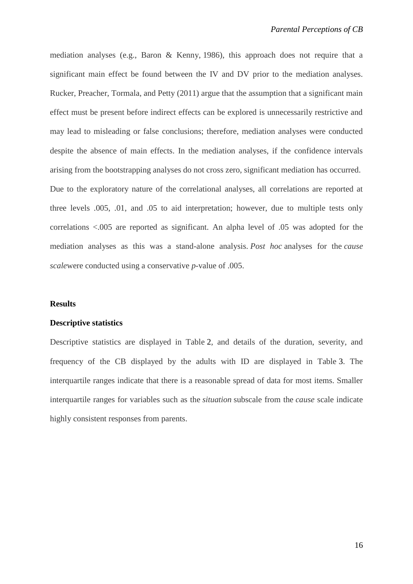mediation analyses (e.g., Baron & Kenny, 1986), this approach does not require that a significant main effect be found between the IV and DV prior to the mediation analyses. Rucker, Preacher, Tormala, and Petty (2011) argue that the assumption that a significant main effect must be present before indirect effects can be explored is unnecessarily restrictive and may lead to misleading or false conclusions; therefore, mediation analyses were conducted despite the absence of main effects. In the mediation analyses, if the confidence intervals arising from the bootstrapping analyses do not cross zero, significant mediation has occurred. Due to the exploratory nature of the correlational analyses, all correlations are reported at three levels .005, .01, and .05 to aid interpretation; however, due to multiple tests only correlations <.005 are reported as significant. An alpha level of .05 was adopted for the mediation analyses as this was a stand-alone analysis. *Post hoc* analyses for the *cause scale*were conducted using a conservative *p*-value of .005.

#### **Results**

#### **Descriptive statistics**

Descriptive statistics are displayed in Table 2, and details of the duration, severity, and frequency of the CB displayed by the adults with ID are displayed in Table 3. The interquartile ranges indicate that there is a reasonable spread of data for most items. Smaller interquartile ranges for variables such as the *situation* subscale from the *cause* scale indicate highly consistent responses from parents.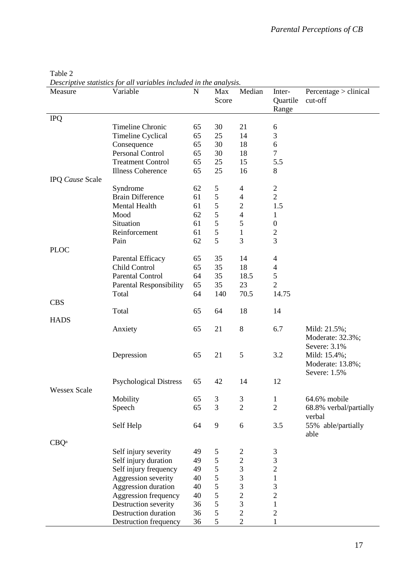| Measure             | Descriptive statistics for all variables included in the analysis.<br>Variable | $\mathbf N$ | Max<br>Score  | Median                      | Inter-<br>Quartile<br>Range | Percentage > clinical<br>cut-off                 |
|---------------------|--------------------------------------------------------------------------------|-------------|---------------|-----------------------------|-----------------------------|--------------------------------------------------|
| <b>IPQ</b>          |                                                                                |             |               |                             |                             |                                                  |
|                     | Timeline Chronic                                                               | 65          | 30            | 21                          | 6                           |                                                  |
|                     | Timeline Cyclical                                                              | 65          | 25            | 14                          | 3                           |                                                  |
|                     | Consequence                                                                    | 65          | 30            | 18                          | $\sqrt{6}$                  |                                                  |
|                     | <b>Personal Control</b>                                                        | 65          | 30            | 18                          | $\overline{7}$              |                                                  |
|                     | <b>Treatment Control</b>                                                       | 65          | 25            | 15                          | 5.5                         |                                                  |
|                     | <b>Illness Coherence</b>                                                       | 65          | 25            | 16                          | 8                           |                                                  |
| IPQ Cause Scale     |                                                                                |             |               |                             |                             |                                                  |
|                     | Syndrome                                                                       | 62          | 5             | 4                           | $\overline{2}$              |                                                  |
|                     | <b>Brain Difference</b>                                                        | 61          | 5             | $\overline{4}$              | $\mathbf{2}$                |                                                  |
|                     | Mental Health                                                                  | 61          | 5             | $\overline{c}$              | 1.5                         |                                                  |
|                     | Mood                                                                           | 62          | 5             | $\overline{4}$              | $\mathbf{1}$                |                                                  |
|                     | Situation                                                                      | 61          | 5             | 5                           | $\boldsymbol{0}$            |                                                  |
|                     | Reinforcement                                                                  | 61          | 5             | $\mathbf{1}$                | $\overline{2}$              |                                                  |
|                     | Pain                                                                           | 62          | 5             | 3                           | 3                           |                                                  |
| <b>PLOC</b>         |                                                                                |             |               |                             |                             |                                                  |
|                     | Parental Efficacy                                                              | 65          | 35            | 14                          | $\overline{4}$              |                                                  |
|                     | Child Control                                                                  | 65          | 35            | 18                          | $\overline{4}$              |                                                  |
|                     | <b>Parental Control</b>                                                        | 64          | 35            | 18.5                        | 5                           |                                                  |
|                     | <b>Parental Responsibility</b>                                                 | 65          | 35            | 23                          | $\overline{2}$              |                                                  |
|                     | Total                                                                          | 64          | 140           | 70.5                        | 14.75                       |                                                  |
| <b>CBS</b>          |                                                                                |             |               |                             |                             |                                                  |
|                     | Total                                                                          | 65          | 64            | 18                          | 14                          |                                                  |
| <b>HADS</b>         |                                                                                |             |               |                             |                             |                                                  |
|                     | Anxiety                                                                        | 65          | 21            | 8                           | 6.7                         | Mild: 21.5%;<br>Moderate: 32.3%;<br>Severe: 3.1% |
|                     | Depression                                                                     | 65          | 21            | 5                           | 3.2                         | Mild: 15.4%;<br>Moderate: 13.8%;<br>Severe: 1.5% |
|                     | <b>Psychological Distress</b>                                                  | 65          | 42            | 14                          | 12                          |                                                  |
| <b>Wessex Scale</b> |                                                                                |             |               |                             |                             |                                                  |
|                     | Mobility                                                                       | 65          | $\mathfrak 3$ | $\ensuremath{\mathfrak{Z}}$ | $\mathbf{1}$                | 64.6% mobile                                     |
|                     | Speech                                                                         | 65          | 3             | $\overline{2}$              | $\overline{2}$              | 68.8% verbal/partially                           |
|                     |                                                                                |             |               |                             |                             | verbal                                           |
|                     | Self Help                                                                      | 64          | 9             | 6                           | 3.5                         | 55% able/partially<br>able                       |
| CBQ <sup>a</sup>    |                                                                                |             |               |                             |                             |                                                  |
|                     | Self injury severity                                                           | 49          | 5             | $\overline{c}$              | 3                           |                                                  |
|                     | Self injury duration                                                           | 49          | 5             | $\overline{c}$              | 3                           |                                                  |
|                     | Self injury frequency                                                          | 49          | 5             | 3                           | $\overline{c}$              |                                                  |
|                     | Aggression severity                                                            | 40          | 5             | 3                           | $\mathbf{1}$                |                                                  |
|                     | Aggression duration                                                            | 40          | 5             | 3                           | $\mathfrak{Z}$              |                                                  |
|                     | Aggression frequency                                                           | 40          | 5             | $\overline{c}$              | $\overline{c}$              |                                                  |
|                     | Destruction severity                                                           | 36          | 5             | $\overline{3}$              | $\mathbf{1}$                |                                                  |
|                     | <b>Destruction duration</b>                                                    | 36          | 5             | $\overline{2}$              | $\overline{2}$              |                                                  |
|                     | Destruction frequency                                                          | 36          | $\mathfrak s$ | $\overline{2}$              | 1                           |                                                  |

### Table 2 *Descriptive statistics for all variables included in the analysis.*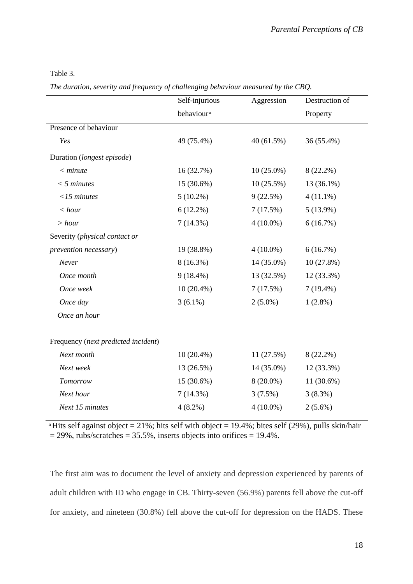| able |  |
|------|--|
|------|--|

*The duration, severity and frequency of challenging behaviour measured by the CBQ.*

|                                     | Self-injurious         | Aggression   | Destruction of |
|-------------------------------------|------------------------|--------------|----------------|
|                                     | behaviour <sup>a</sup> |              | Property       |
| Presence of behaviour               |                        |              |                |
| Yes                                 | 49 (75.4%)             | 40(61.5%)    | 36 (55.4%)     |
| Duration (longest episode)          |                        |              |                |
| $<$ minute                          | 16 (32.7%)             | $10(25.0\%)$ | $8(22.2\%)$    |
| $<$ 5 minutes                       | 15 (30.6%)             | 10(25.5%)    | 13 (36.1%)     |
| $<$ 15 minutes                      | $5(10.2\%)$            | 9(22.5%)     | $4(11.1\%)$    |
| < hour                              | $6(12.2\%)$            | 7(17.5%)     | $5(13.9\%)$    |
| > hour                              | $7(14.3\%)$            | $4(10.0\%)$  | 6(16.7%)       |
| Severity (physical contact or       |                        |              |                |
| prevention necessary)               | 19 (38.8%)             | $4(10.0\%)$  | 6(16.7%)       |
| Never                               | $8(16.3\%)$            | 14 (35.0%)   | 10(27.8%)      |
| Once month                          | $9(18.4\%)$            | 13 (32.5%)   | 12 (33.3%)     |
| Once week                           | $10(20.4\%)$           | 7(17.5%)     | $7(19.4\%)$    |
| Once day                            | $3(6.1\%)$             | $2(5.0\%)$   | $1(2.8\%)$     |
| Once an hour                        |                        |              |                |
| Frequency (next predicted incident) |                        |              |                |
| Next month                          | $10(20.4\%)$           | 11(27.5%)    | $8(22.2\%)$    |
| Next week                           | 13 (26.5%)             | 14 (35.0%)   | 12 (33.3%)     |
| Tomorrow                            | 15 (30.6%)             | $8(20.0\%)$  | 11 (30.6%)     |
| Next hour                           | $7(14.3\%)$            | $3(7.5\%)$   | 3(8.3%)        |
| Next 15 minutes                     | $4(8.2\%)$             | $4(10.0\%)$  | $2(5.6\%)$     |
|                                     |                        |              |                |

<sup>a</sup>Hits self against object = 21%; hits self with object = 19.4%; bites self (29%), pulls skin/hair

 $= 29\%$ , rubs/scratches  $= 35.5\%$ , inserts objects into orifices  $= 19.4\%$ .

The first aim was to document the level of anxiety and depression experienced by parents of adult children with ID who engage in CB. Thirty-seven (56.9%) parents fell above the cut-off for anxiety, and nineteen (30.8%) fell above the cut-off for depression on the HADS. These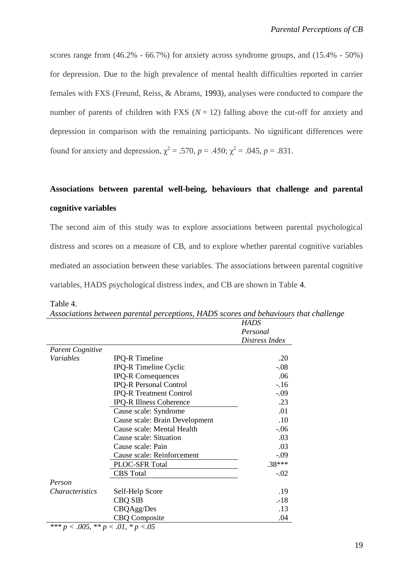scores range from (46.2% - 66.7%) for anxiety across syndrome groups, and (15.4% - 50%) for depression. Due to the high prevalence of mental health difficulties reported in carrier females with FXS (Freund, Reiss, & Abrams, 1993), analyses were conducted to compare the number of parents of children with FXS  $(N = 12)$  falling above the cut-off for anxiety and depression in comparison with the remaining participants. No significant differences were found for anxiety and depression,  $\chi^2 = .570$ ,  $p = .450$ ;  $\chi^2 = .045$ ,  $p = .831$ .

## **Associations between parental well-being, behaviours that challenge and parental cognitive variables**

The second aim of this study was to explore associations between parental psychological distress and scores on a measure of CB, and to explore whether parental cognitive variables mediated an association between these variables. The associations between parental cognitive variables, HADS psychological distress index, and CB are shown in Table 4.

|                         |                                | HADS           |
|-------------------------|--------------------------------|----------------|
|                         |                                | Personal       |
|                         |                                | Distress Index |
| <b>Parent Cognitive</b> |                                |                |
| Variables               | <b>IPQ-R</b> Timeline          | .20            |
|                         | IPQ-R Timeline Cyclic          | $-.08$         |
|                         | <b>IPQ-R Consequences</b>      | .06            |
|                         | <b>IPQ-R Personal Control</b>  | $-16$          |
|                         | <b>IPQ-R Treatment Control</b> | $-.09$         |
|                         | <b>IPQ-R Illness Coherence</b> | .23            |
|                         | Cause scale: Syndrome          | .01            |
|                         | Cause scale: Brain Development | .10            |
|                         | Cause scale: Mental Health     | $-.06$         |
|                         | Cause scale: Situation         | .03            |
|                         | Cause scale: Pain              | .03            |
|                         | Cause scale: Reinforcement     | $-.09$         |
|                         | <b>PLOC-SFR Total</b>          | .38***         |
|                         | <b>CBS</b> Total               | $-.02$         |
| Person                  |                                |                |
| <i>Characteristics</i>  | Self-Help Score                | .19            |
|                         | <b>CBQ SIB</b>                 | $-18$          |
|                         | CBQAgg/Des                     | .13            |
|                         | <b>CBQ Composite</b>           | .04            |

Table 4.

| Associations between parental perceptions, HADS scores and behaviours that challenge |  |  |  |  |
|--------------------------------------------------------------------------------------|--|--|--|--|
|                                                                                      |  |  |  |  |

*\*\*\* p < .005, \*\* p < .01, \* p <.05*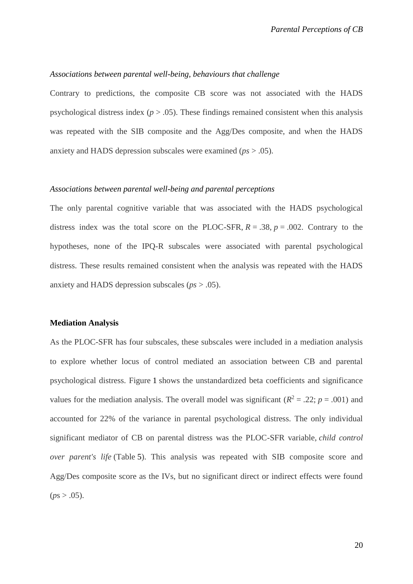#### *Associations between parental well-being, behaviours that challenge*

Contrary to predictions, the composite CB score was not associated with the HADS psychological distress index ( $p > .05$ ). These findings remained consistent when this analysis was repeated with the SIB composite and the Agg/Des composite, and when the HADS anxiety and HADS depression subscales were examined (*ps* > .05).

#### *Associations between parental well-being and parental perceptions*

The only parental cognitive variable that was associated with the HADS psychological distress index was the total score on the PLOC-SFR,  $R = .38$ ,  $p = .002$ . Contrary to the hypotheses, none of the IPQ-R subscales were associated with parental psychological distress. These results remained consistent when the analysis was repeated with the HADS anxiety and HADS depression subscales (*ps* > .05).

#### **Mediation Analysis**

As the PLOC-SFR has four subscales, these subscales were included in a mediation analysis to explore whether locus of control mediated an association between CB and parental psychological distress. Figure 1 shows the unstandardized beta coefficients and significance values for the mediation analysis. The overall model was significant ( $R^2 = .22$ ;  $p = .001$ ) and accounted for 22% of the variance in parental psychological distress. The only individual significant mediator of CB on parental distress was the PLOC-SFR variable, *child control over parent's life* (Table 5). This analysis was repeated with SIB composite score and Agg/Des composite score as the IVs, but no significant direct or indirect effects were found  $(ps > .05)$ .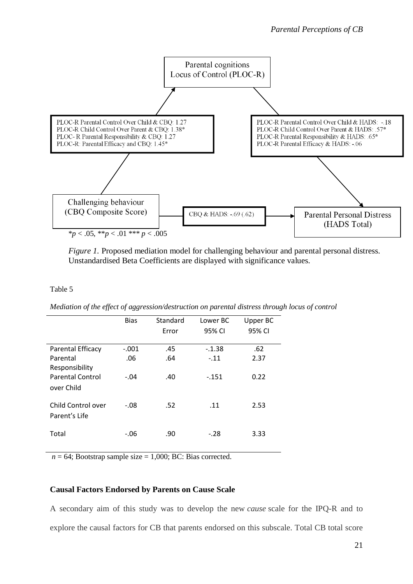

*Figure 1.* Proposed mediation model for challenging behaviour and parental personal distress. Unstandardised Beta Coefficients are displayed with significance values.

#### Table 5

*Mediation of the effect of aggression/destruction on parental distress through locus of control*

|                                       | <b>Bias</b> | Standard | Lower BC | Upper BC |
|---------------------------------------|-------------|----------|----------|----------|
|                                       |             | Error    | 95% CI   | 95% CI   |
| <b>Parental Efficacy</b>              | $-.001$     | .45      | $-.1.38$ | .62      |
| Parental<br>Responsibility            | .06         | .64      | $-.11$   | 2.37     |
| <b>Parental Control</b><br>over Child | $-.04$      | .40      | $-151$   | 0.22     |
| Child Control over<br>Parent's Life   | $-.08$      | .52      | .11      | 2.53     |
| Total                                 | -.06        | .90      | $-.28$   | 3.33     |

 $n = 64$ ; Bootstrap sample size = 1,000; BC: Bias corrected.

#### **Causal Factors Endorsed by Parents on Cause Scale**

A secondary aim of this study was to develop the new *cause* scale for the IPQ-R and to explore the causal factors for CB that parents endorsed on this subscale. Total CB total score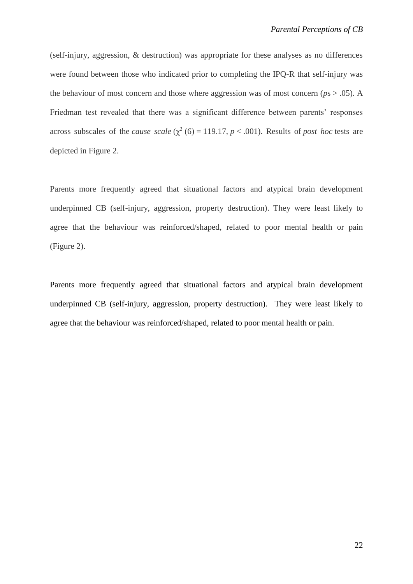(self-injury, aggression, & destruction) was appropriate for these analyses as no differences were found between those who indicated prior to completing the IPQ-R that self-injury was the behaviour of most concern and those where aggression was of most concern ( $p_s > .05$ ). A Friedman test revealed that there was a significant difference between parents' responses across subscales of the *cause* scale  $(\chi^2(6) = 119.17, p < .001)$ . Results of *post hoc* tests are depicted in Figure 2.

Parents more frequently agreed that situational factors and atypical brain development underpinned CB (self-injury, aggression, property destruction). They were least likely to agree that the behaviour was reinforced/shaped, related to poor mental health or pain (Figure 2).

Parents more frequently agreed that situational factors and atypical brain development underpinned CB (self-injury, aggression, property destruction). They were least likely to agree that the behaviour was reinforced/shaped, related to poor mental health or pain.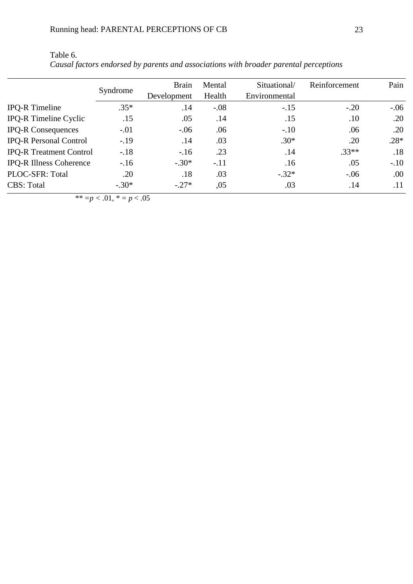|                                | Syndrome | <b>Brain</b><br>Development | Mental<br>Health | Situational/<br>Environmental | Reinforcement | Pain   |
|--------------------------------|----------|-----------------------------|------------------|-------------------------------|---------------|--------|
| <b>IPQ-R</b> Timeline          | $.35*$   | .14                         | $-.08$           | $-.15$                        | $-.20$        | $-.06$ |
| <b>IPQ-R Timeline Cyclic</b>   | .15      | .05                         | .14              | .15                           | .10           | .20    |
| <b>IPQ-R Consequences</b>      | $-.01$   | $-.06$                      | .06              | $-.10$                        | .06           | .20    |
| <b>IPQ-R Personal Control</b>  | $-.19$   | .14                         | .03              | $.30*$                        | .20           | $.28*$ |
| <b>IPQ-R Treatment Control</b> | $-.18$   | $-16$                       | .23              | .14                           | $.33**$       | .18    |
| <b>IPQ-R Illness Coherence</b> | $-.16$   | $-.30*$                     | $-.11$           | .16                           | .05           | $-.10$ |
| PLOC-SFR: Total                | .20      | .18                         | .03              | $-.32*$                       | $-.06$        | .00    |
| <b>CBS: Total</b>              | $-.30*$  | $-.27*$                     | ,05              | .03                           | .14           | .11    |
|                                |          |                             |                  |                               |               |        |

| Table 6.                                                                              |  |
|---------------------------------------------------------------------------------------|--|
| Causal factors endorsed by parents and associations with broader parental perceptions |  |

*\*\* =p < .*01, *\* = p* < .05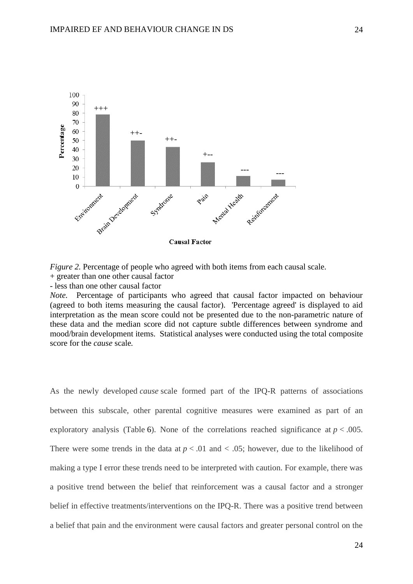

*Figure 2.* Percentage of people who agreed with both items from each causal scale.

- + greater than one other causal factor
- less than one other causal factor

*Note.* Percentage of participants who agreed that causal factor impacted on behaviour (agreed to both items measuring the causal factor). 'Percentage agreed' is displayed to aid interpretation as the mean score could not be presented due to the non-parametric nature of these data and the median score did not capture subtle differences between syndrome and mood/brain development items. Statistical analyses were conducted using the total composite score for the *cause* scale*.*

As the newly developed *cause* scale formed part of the IPQ-R patterns of associations between this subscale, other parental cognitive measures were examined as part of an exploratory analysis (Table 6). None of the correlations reached significance at  $p < .005$ . There were some trends in the data at  $p < .01$  and  $< .05$ ; however, due to the likelihood of making a type I error these trends need to be interpreted with caution. For example, there was a positive trend between the belief that reinforcement was a causal factor and a stronger belief in effective treatments/interventions on the IPQ-R. There was a positive trend between a belief that pain and the environment were causal factors and greater personal control on the

24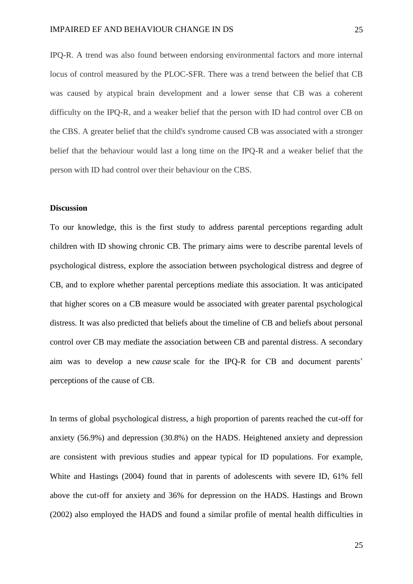IPQ-R. A trend was also found between endorsing environmental factors and more internal locus of control measured by the PLOC-SFR. There was a trend between the belief that CB was caused by atypical brain development and a lower sense that CB was a coherent difficulty on the IPQ-R, and a weaker belief that the person with ID had control over CB on the CBS. A greater belief that the child's syndrome caused CB was associated with a stronger belief that the behaviour would last a long time on the IPQ-R and a weaker belief that the person with ID had control over their behaviour on the CBS.

#### **Discussion**

To our knowledge, this is the first study to address parental perceptions regarding adult children with ID showing chronic CB. The primary aims were to describe parental levels of psychological distress, explore the association between psychological distress and degree of CB, and to explore whether parental perceptions mediate this association. It was anticipated that higher scores on a CB measure would be associated with greater parental psychological distress. It was also predicted that beliefs about the timeline of CB and beliefs about personal control over CB may mediate the association between CB and parental distress. A secondary aim was to develop a new *cause* scale for the IPQ-R for CB and document parents' perceptions of the cause of CB.

In terms of global psychological distress, a high proportion of parents reached the cut-off for anxiety (56.9%) and depression (30.8%) on the HADS. Heightened anxiety and depression are consistent with previous studies and appear typical for ID populations. For example, White and Hastings (2004) found that in parents of adolescents with severe ID, 61% fell above the cut-off for anxiety and 36% for depression on the HADS. Hastings and Brown (2002) also employed the HADS and found a similar profile of mental health difficulties in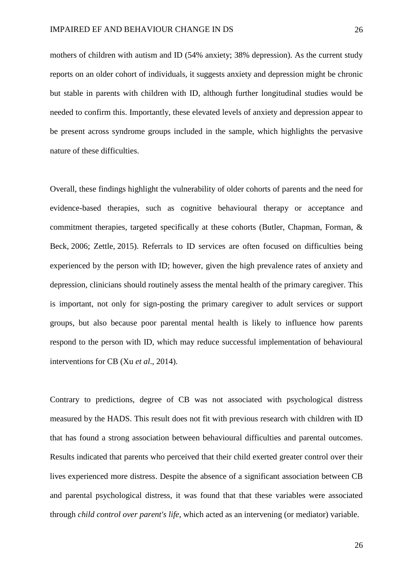mothers of children with autism and ID (54% anxiety; 38% depression). As the current study reports on an older cohort of individuals, it suggests anxiety and depression might be chronic but stable in parents with children with ID, although further longitudinal studies would be needed to confirm this. Importantly, these elevated levels of anxiety and depression appear to be present across syndrome groups included in the sample, which highlights the pervasive nature of these difficulties.

Overall, these findings highlight the vulnerability of older cohorts of parents and the need for evidence-based therapies, such as cognitive behavioural therapy or acceptance and commitment therapies, targeted specifically at these cohorts (Butler, Chapman, Forman, & Beck, 2006; Zettle, 2015). Referrals to ID services are often focused on difficulties being experienced by the person with ID; however, given the high prevalence rates of anxiety and depression, clinicians should routinely assess the mental health of the primary caregiver. This is important, not only for sign-posting the primary caregiver to adult services or support groups, but also because poor parental mental health is likely to influence how parents respond to the person with ID, which may reduce successful implementation of behavioural interventions for CB (Xu *et al*., 2014).

Contrary to predictions, degree of CB was not associated with psychological distress measured by the HADS. This result does not fit with previous research with children with ID that has found a strong association between behavioural difficulties and parental outcomes. Results indicated that parents who perceived that their child exerted greater control over their lives experienced more distress. Despite the absence of a significant association between CB and parental psychological distress, it was found that that these variables were associated through *child control over parent's life*, which acted as an intervening (or mediator) variable.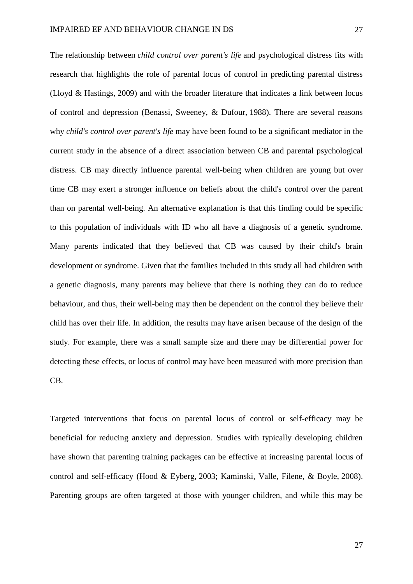The relationship between *child control over parent's life* and psychological distress fits with research that highlights the role of parental locus of control in predicting parental distress (Lloyd & Hastings, 2009) and with the broader literature that indicates a link between locus of control and depression (Benassi, Sweeney, & Dufour, 1988). There are several reasons why *child's control over parent's life* may have been found to be a significant mediator in the current study in the absence of a direct association between CB and parental psychological distress. CB may directly influence parental well-being when children are young but over time CB may exert a stronger influence on beliefs about the child's control over the parent than on parental well-being. An alternative explanation is that this finding could be specific to this population of individuals with ID who all have a diagnosis of a genetic syndrome. Many parents indicated that they believed that CB was caused by their child's brain development or syndrome. Given that the families included in this study all had children with a genetic diagnosis, many parents may believe that there is nothing they can do to reduce behaviour, and thus, their well-being may then be dependent on the control they believe their child has over their life. In addition, the results may have arisen because of the design of the study. For example, there was a small sample size and there may be differential power for detecting these effects, or locus of control may have been measured with more precision than CB.

Targeted interventions that focus on parental locus of control or self-efficacy may be beneficial for reducing anxiety and depression. Studies with typically developing children have shown that parenting training packages can be effective at increasing parental locus of control and self-efficacy (Hood & Eyberg, 2003; Kaminski, Valle, Filene, & Boyle, 2008). Parenting groups are often targeted at those with younger children, and while this may be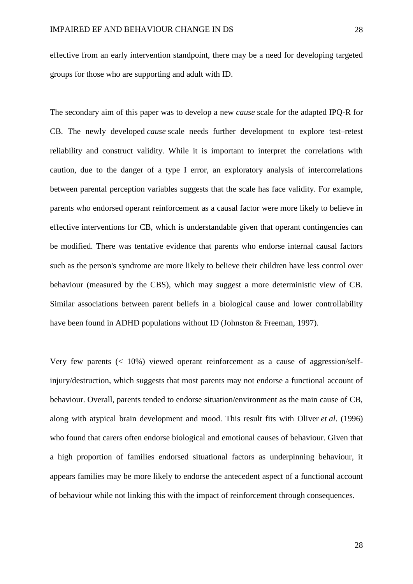effective from an early intervention standpoint, there may be a need for developing targeted groups for those who are supporting and adult with ID.

The secondary aim of this paper was to develop a new *cause* scale for the adapted IPQ-R for CB. The newly developed *cause* scale needs further development to explore test–retest reliability and construct validity. While it is important to interpret the correlations with caution, due to the danger of a type I error, an exploratory analysis of intercorrelations between parental perception variables suggests that the scale has face validity. For example, parents who endorsed operant reinforcement as a causal factor were more likely to believe in effective interventions for CB, which is understandable given that operant contingencies can be modified. There was tentative evidence that parents who endorse internal causal factors such as the person's syndrome are more likely to believe their children have less control over behaviour (measured by the CBS), which may suggest a more deterministic view of CB. Similar associations between parent beliefs in a biological cause and lower controllability have been found in ADHD populations without ID (Johnston & Freeman, 1997).

Very few parents (< 10%) viewed operant reinforcement as a cause of aggression/selfinjury/destruction, which suggests that most parents may not endorse a functional account of behaviour. Overall, parents tended to endorse situation/environment as the main cause of CB, along with atypical brain development and mood. This result fits with Oliver *et al*. (1996) who found that carers often endorse biological and emotional causes of behaviour. Given that a high proportion of families endorsed situational factors as underpinning behaviour, it appears families may be more likely to endorse the antecedent aspect of a functional account of behaviour while not linking this with the impact of reinforcement through consequences.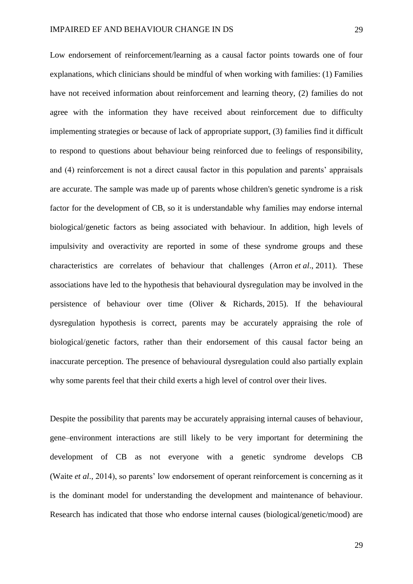Low endorsement of reinforcement/learning as a causal factor points towards one of four explanations, which clinicians should be mindful of when working with families: (1) Families have not received information about reinforcement and learning theory, (2) families do not agree with the information they have received about reinforcement due to difficulty implementing strategies or because of lack of appropriate support, (3) families find it difficult to respond to questions about behaviour being reinforced due to feelings of responsibility, and (4) reinforcement is not a direct causal factor in this population and parents' appraisals are accurate. The sample was made up of parents whose children's genetic syndrome is a risk factor for the development of CB, so it is understandable why families may endorse internal biological/genetic factors as being associated with behaviour. In addition, high levels of impulsivity and overactivity are reported in some of these syndrome groups and these characteristics are correlates of behaviour that challenges (Arron *et al*., 2011). These associations have led to the hypothesis that behavioural dysregulation may be involved in the persistence of behaviour over time (Oliver & Richards, 2015). If the behavioural dysregulation hypothesis is correct, parents may be accurately appraising the role of biological/genetic factors, rather than their endorsement of this causal factor being an inaccurate perception. The presence of behavioural dysregulation could also partially explain why some parents feel that their child exerts a high level of control over their lives.

Despite the possibility that parents may be accurately appraising internal causes of behaviour, gene–environment interactions are still likely to be very important for determining the development of CB as not everyone with a genetic syndrome develops CB (Waite *et al*., 2014), so parents' low endorsement of operant reinforcement is concerning as it is the dominant model for understanding the development and maintenance of behaviour. Research has indicated that those who endorse internal causes (biological/genetic/mood) are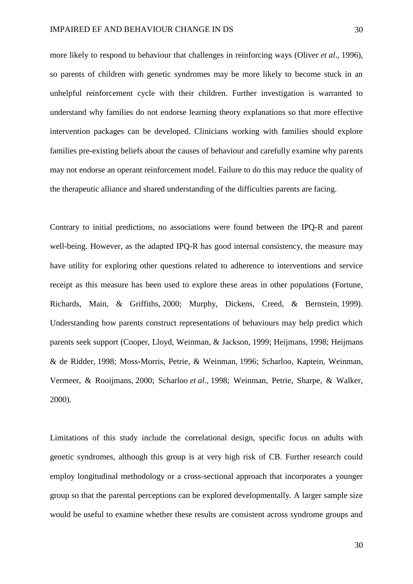more likely to respond to behaviour that challenges in reinforcing ways (Oliver *et al*., 1996), so parents of children with genetic syndromes may be more likely to become stuck in an unhelpful reinforcement cycle with their children. Further investigation is warranted to understand why families do not endorse learning theory explanations so that more effective intervention packages can be developed. Clinicians working with families should explore families pre-existing beliefs about the causes of behaviour and carefully examine why parents may not endorse an operant reinforcement model. Failure to do this may reduce the quality of the therapeutic alliance and shared understanding of the difficulties parents are facing.

Contrary to initial predictions, no associations were found between the IPQ-R and parent well-being. However, as the adapted IPQ-R has good internal consistency, the measure may have utility for exploring other questions related to adherence to interventions and service receipt as this measure has been used to explore these areas in other populations (Fortune, Richards, Main, & Griffiths, 2000; Murphy, Dickens, Creed, & Bernstein, 1999). Understanding how parents construct representations of behaviours may help predict which parents seek support (Cooper, Lloyd, Weinman, & Jackson, 1999; Heijmans, 1998; Heijmans & de Ridder, 1998; Moss-Morris, Petrie, & Weinman, 1996; Scharloo, Kaptein, Weinman, Vermeer, & Rooijmans, 2000; Scharloo *et al*., 1998; Weinman, Petrie, Sharpe, & Walker, 2000).

Limitations of this study include the correlational design, specific focus on adults with genetic syndromes, although this group is at very high risk of CB. Further research could employ longitudinal methodology or a cross-sectional approach that incorporates a younger group so that the parental perceptions can be explored developmentally. A larger sample size would be useful to examine whether these results are consistent across syndrome groups and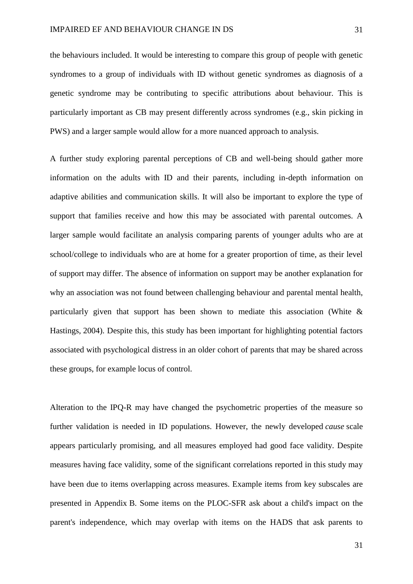the behaviours included. It would be interesting to compare this group of people with genetic syndromes to a group of individuals with ID without genetic syndromes as diagnosis of a genetic syndrome may be contributing to specific attributions about behaviour. This is particularly important as CB may present differently across syndromes (e.g., skin picking in PWS) and a larger sample would allow for a more nuanced approach to analysis.

A further study exploring parental perceptions of CB and well-being should gather more information on the adults with ID and their parents, including in-depth information on adaptive abilities and communication skills. It will also be important to explore the type of support that families receive and how this may be associated with parental outcomes. A larger sample would facilitate an analysis comparing parents of younger adults who are at school/college to individuals who are at home for a greater proportion of time, as their level of support may differ. The absence of information on support may be another explanation for why an association was not found between challenging behaviour and parental mental health, particularly given that support has been shown to mediate this association (White & Hastings, 2004). Despite this, this study has been important for highlighting potential factors associated with psychological distress in an older cohort of parents that may be shared across these groups, for example locus of control.

Alteration to the IPQ-R may have changed the psychometric properties of the measure so further validation is needed in ID populations. However, the newly developed *cause* scale appears particularly promising, and all measures employed had good face validity. Despite measures having face validity, some of the significant correlations reported in this study may have been due to items overlapping across measures. Example items from key subscales are presented in Appendix B. Some items on the PLOC-SFR ask about a child's impact on the parent's independence, which may overlap with items on the HADS that ask parents to

31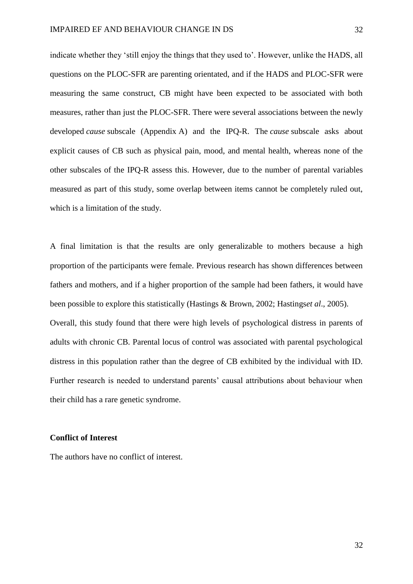indicate whether they 'still enjoy the things that they used to'. However, unlike the HADS, all questions on the PLOC-SFR are parenting orientated, and if the HADS and PLOC-SFR were measuring the same construct, CB might have been expected to be associated with both measures, rather than just the PLOC-SFR. There were several associations between the newly developed *cause* subscale (Appendix A) and the IPQ-R. The *cause* subscale asks about explicit causes of CB such as physical pain, mood, and mental health, whereas none of the other subscales of the IPQ-R assess this. However, due to the number of parental variables measured as part of this study, some overlap between items cannot be completely ruled out, which is a limitation of the study.

A final limitation is that the results are only generalizable to mothers because a high proportion of the participants were female. Previous research has shown differences between fathers and mothers, and if a higher proportion of the sample had been fathers, it would have been possible to explore this statistically (Hastings & Brown, 2002; Hastings*et al*., 2005). Overall, this study found that there were high levels of psychological distress in parents of adults with chronic CB. Parental locus of control was associated with parental psychological distress in this population rather than the degree of CB exhibited by the individual with ID. Further research is needed to understand parents' causal attributions about behaviour when their child has a rare genetic syndrome.

#### **Conflict of Interest**

The authors have no conflict of interest.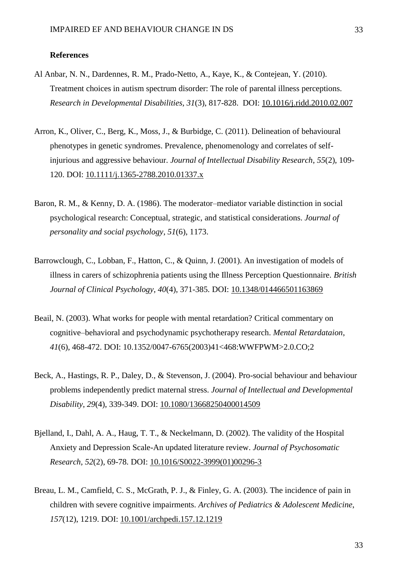#### **References**

- Al Anbar, N. N., Dardennes, R. M., Prado-Netto, A., Kaye, K., & Contejean, Y. (2010). Treatment choices in autism spectrum disorder: The role of parental illness perceptions. *Research in Developmental Disabilities*, *31*(3), 817-828. DOI: 10.1016/j.ridd.2010.02.007
- Arron, K., Oliver, C., Berg, K., Moss, J., & Burbidge, C. (2011). Delineation of behavioural phenotypes in genetic syndromes. Prevalence, phenomenology and correlates of selfinjurious and aggressive behaviour. *Journal of Intellectual Disability Research*, *55*(2), 109- 120. DOI: 10.1111/j.1365-2788.2010.01337.x
- Baron, R. M., & Kenny, D. A. (1986). The moderator–mediator variable distinction in social psychological research: Conceptual, strategic, and statistical considerations. *Journal of personality and social psychology*, *51*(6), 1173.
- Barrowclough, C., Lobban, F., Hatton, C., & Quinn, J. (2001). An investigation of models of illness in carers of schizophrenia patients using the Illness Perception Questionnaire. *British Journal of Clinical Psychology*, *40*(4), 371-385. DOI: 10.1348/014466501163869
- Beail, N. (2003). What works for people with mental retardation? Critical commentary on cognitive–behavioral and psychodynamic psychotherapy research. *Mental Retardataion*, *41*(6), 468-472. DOI: 10.1352/0047-6765(2003)41<468:WWFPWM>2.0.CO;2
- Beck, A., Hastings, R. P., Daley, D., & Stevenson, J. (2004). Pro-social behaviour and behaviour problems independently predict maternal stress. *Journal of Intellectual and Developmental Disability*, *29*(4), 339-349. DOI: 10.1080/13668250400014509
- Bjelland, I., Dahl, A. A., Haug, T. T., & Neckelmann, D. (2002). The validity of the Hospital Anxiety and Depression Scale-An updated literature review. *Journal of Psychosomatic Research*, *52*(2), 69-78. DOI: 10.1016/S0022-3999(01)00296-3
- Breau, L. M., Camfield, C. S., McGrath, P. J., & Finley, G. A. (2003). The incidence of pain in children with severe cognitive impairments. *Archives of Pediatrics & Adolescent Medicine*, *157*(12), 1219. DOI: 10.1001/archpedi.157.12.1219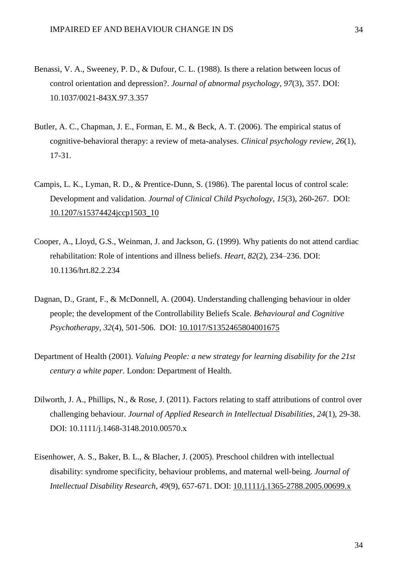- Benassi, V. A., Sweeney, P. D., & Dufour, C. L. (1988). Is there a relation between locus of control orientation and depression?. *Journal of abnormal psychology*, *97*(3), 357. DOI: 10.1037/0021-843X.97.3.357
- Butler, A. C., Chapman, J. E., Forman, E. M., & Beck, A. T. (2006). The empirical status of cognitive-behavioral therapy: a review of meta-analyses. *Clinical psychology review*, *26*(1), 17-31.
- Campis, L. K., Lyman, R. D., & Prentice-Dunn, S. (1986). The parental locus of control scale: Development and validation. *Journal of Clinical Child Psychology*, *15*(3), 260-267. DOI: 10.1207/s15374424jccp1503\_10
- Cooper, A., Lloyd, G.S., Weinman, J. and Jackson, G. (1999). Why patients do not attend cardiac rehabilitation: Role of intentions and illness beliefs. *Heart, 82*(2), 234–236. DOI: 10.1136/hrt.82.2.234
- Dagnan, D., Grant, F., & McDonnell, A. (2004). Understanding challenging behaviour in older people; the development of the Controllability Beliefs Scale. *Behavioural and Cognitive Psychotherapy*, *32*(4), 501-506. DOI: 10.1017/S1352465804001675
- Department of Health (2001). *Valuing People: a new strategy for learning disability for the 21st century a white paper*. London: Department of Health.
- Dilworth, J. A., Phillips, N., & Rose, J. (2011). Factors relating to staff attributions of control over challenging behaviour. *Journal of Applied Research in Intellectual Disabilities*, *24*(1), 29-38. DOI: 10.1111/j.1468-3148.2010.00570.x
- Eisenhower, A. S., Baker, B. L., & Blacher, J. (2005). Preschool children with intellectual disability: syndrome specificity, behaviour problems, and maternal well‐being. *Journal of Intellectual Disability Research*, *49*(9), 657-671. DOI: 10.1111/j.1365-2788.2005.00699.x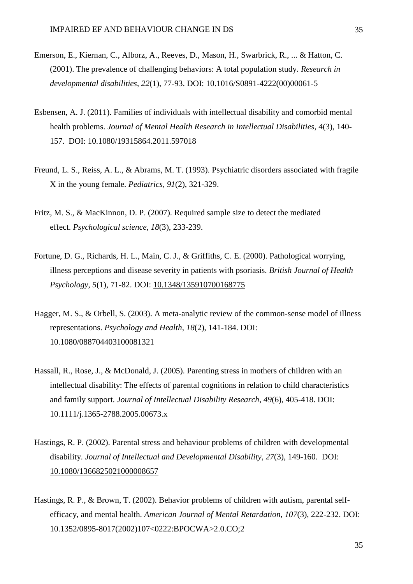- Emerson, E., Kiernan, C., Alborz, A., Reeves, D., Mason, H., Swarbrick, R., ... & Hatton, C. (2001). The prevalence of challenging behaviors: A total population study. *Research in developmental disabilities*, *22*(1), 77-93. DOI: 10.1016/S0891-4222(00)00061-5
- Esbensen, A. J. (2011). Families of individuals with intellectual disability and comorbid mental health problems. *Journal of Mental Health Research in Intellectual Disabilities*, *4*(3), 140- 157. DOI: 10.1080/19315864.2011.597018
- Freund, L. S., Reiss, A. L., & Abrams, M. T. (1993). Psychiatric disorders associated with fragile X in the young female. *Pediatrics*, *91*(2), 321-329.
- Fritz, M. S., & MacKinnon, D. P. (2007). Required sample size to detect the mediated effect. *Psychological science*, *18*(3), 233-239.
- Fortune, D. G., Richards, H. L., Main, C. J., & Griffiths, C. E. (2000). Pathological worrying, illness perceptions and disease severity in patients with psoriasis. *British Journal of Health Psychology*, *5*(1), 71-82. DOI: 10.1348/135910700168775
- Hagger, M. S., & Orbell, S. (2003). A meta-analytic review of the common-sense model of illness representations. *Psychology and Health*, *18*(2), 141-184. DOI: 10.1080/088704403100081321
- Hassall, R., Rose, J., & McDonald, J. (2005). Parenting stress in mothers of children with an intellectual disability: The effects of parental cognitions in relation to child characteristics and family support. *Journal of Intellectual Disability Research*, *49*(6), 405-418. DOI: 10.1111/j.1365-2788.2005.00673.x
- Hastings, R. P. (2002). Parental stress and behaviour problems of children with developmental disability. *Journal of Intellectual and Developmental Disability*, *27*(3), 149-160. DOI: 10.1080/1366825021000008657
- Hastings, R. P., & Brown, T. (2002). Behavior problems of children with autism, parental selfefficacy, and mental health. *American Journal of Mental Retardation*, *107*(3), 222-232. DOI: 10.1352/0895-8017(2002)107<0222:BPOCWA>2.0.CO;2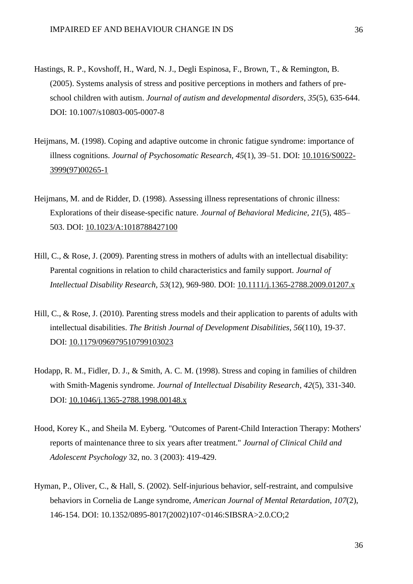- Hastings, R. P., Kovshoff, H., Ward, N. J., Degli Espinosa, F., Brown, T., & Remington, B. (2005). Systems analysis of stress and positive perceptions in mothers and fathers of preschool children with autism. *Journal of autism and developmental disorders*, *35*(5), 635-644. DOI: 10.1007/s10803-005-0007-8
- Heijmans, M. (1998). Coping and adaptive outcome in chronic fatigue syndrome: importance of illness cognitions. *Journal of Psychosomatic Research, 45*(1)*,* 39–51. DOI: 10.1016/S0022- 3999(97)00265-1
- Heijmans, M. and de Ridder, D. (1998). Assessing illness representations of chronic illness: Explorations of their disease-specific nature. *Journal of Behavioral Medicine, 21*(5), 485– 503. DOI: 10.1023/A:1018788427100
- Hill, C., & Rose, J. (2009). Parenting stress in mothers of adults with an intellectual disability: Parental cognitions in relation to child characteristics and family support. *Journal of Intellectual Disability Research*, *53*(12), 969-980. DOI: 10.1111/j.1365-2788.2009.01207.x
- Hill, C., & Rose, J. (2010). Parenting stress models and their application to parents of adults with intellectual disabilities. *The British Journal of Development Disabilities*, *56*(110), 19-37. DOI: 10.1179/096979510799103023
- Hodapp, R. M., Fidler, D. J., & Smith, A. C. M. (1998). Stress and coping in families of children with Smith‐Magenis syndrome. *Journal of Intellectual Disability Research*, *42*(5), 331-340. DOI: 10.1046/j.1365-2788.1998.00148.x
- Hood, Korey K., and Sheila M. Eyberg. "Outcomes of Parent-Child Interaction Therapy: Mothers' reports of maintenance three to six years after treatment." *Journal of Clinical Child and Adolescent Psychology* 32, no. 3 (2003): 419-429.
- Hyman, P., Oliver, C., & Hall, S. (2002). Self-injurious behavior, self-restraint, and compulsive behaviors in Cornelia de Lange syndrome, *American Journal of Mental Retardation*, *107*(2), 146-154. DOI: 10.1352/0895-8017(2002)107<0146:SIBSRA>2.0.CO;2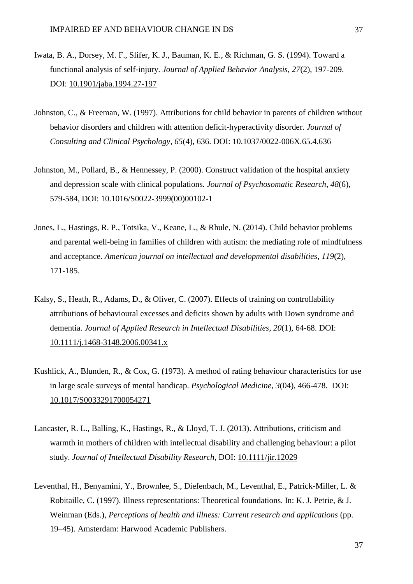- Iwata, B. A., Dorsey, M. F., Slifer, K. J., Bauman, K. E., & Richman, G. S. (1994). Toward a functional analysis of self‐injury. *Journal of Applied Behavior Analysis*, *27*(2), 197-209. DOI: 10.1901/jaba.1994.27-197
- Johnston, C., & Freeman, W. (1997). Attributions for child behavior in parents of children without behavior disorders and children with attention deficit-hyperactivity disorder. *Journal of Consulting and Clinical Psychology*, *65*(4), 636. DOI: 10.1037/0022-006X.65.4.636
- Johnston, M., Pollard, B., & Hennessey, P. (2000). Construct validation of the hospital anxiety and depression scale with clinical populations. *Journal of Psychosomatic Research*, *48*(6), 579-584, DOI: 10.1016/S0022-3999(00)00102-1
- Jones, L., Hastings, R. P., Totsika, V., Keane, L., & Rhule, N. (2014). Child behavior problems and parental well-being in families of children with autism: the mediating role of mindfulness and acceptance. *American journal on intellectual and developmental disabilities*, *119*(2), 171-185.
- Kalsy, S., Heath, R., Adams, D., & Oliver, C. (2007). Effects of training on controllability attributions of behavioural excesses and deficits shown by adults with Down syndrome and dementia. *Journal of Applied Research in Intellectual Disabilities*, *20*(1), 64-68. DOI: 10.1111/j.1468-3148.2006.00341.x
- Kushlick, A., Blunden, R., & Cox, G. (1973). A method of rating behaviour characteristics for use in large scale surveys of mental handicap. *Psychological Medicine*, *3*(04), 466-478. DOI: 10.1017/S0033291700054271
- Lancaster, R. L., Balling, K., Hastings, R., & Lloyd, T. J. (2013). Attributions, criticism and warmth in mothers of children with intellectual disability and challenging behaviour: a pilot study. *Journal of Intellectual Disability Research*, DOI: 10.1111/jir.12029
- Leventhal, H., Benyamini, Y., Brownlee, S., Diefenbach, M., Leventhal, E., Patrick-Miller, L. & Robitaille, C. (1997). Illness representations: Theoretical foundations. In: K. J. Petrie, & J. Weinman (Eds.), *Perceptions of health and illness: Current research and applications* (pp. 19–45). Amsterdam: Harwood Academic Publishers.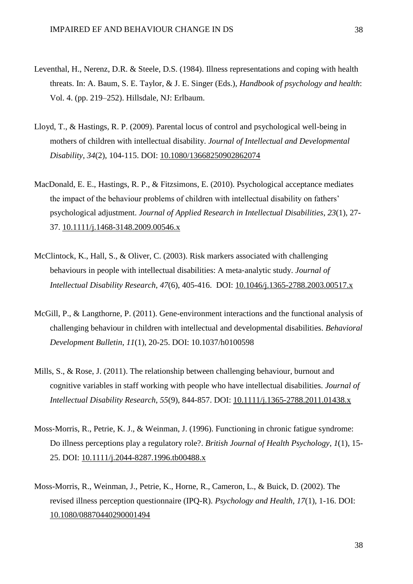- Leventhal, H., Nerenz, D.R. & Steele, D.S. (1984). Illness representations and coping with health threats. In: A. Baum, S. E. Taylor, & J. E. Singer (Eds.), *Handbook of psychology and health*: Vol. 4. (pp. 219–252). Hillsdale, NJ: Erlbaum.
- Lloyd, T., & Hastings, R. P. (2009). Parental locus of control and psychological well-being in mothers of children with intellectual disability. *Journal of Intellectual and Developmental Disability*, *34*(2), 104-115. DOI: 10.1080/13668250902862074
- MacDonald, E. E., Hastings, R. P., & Fitzsimons, E. (2010). Psychological acceptance mediates the impact of the behaviour problems of children with intellectual disability on fathers' psychological adjustment. *Journal of Applied Research in Intellectual Disabilities*, *23*(1), 27- 37. 10.1111/j.1468-3148.2009.00546.x
- McClintock, K., Hall, S., & Oliver, C. (2003). Risk markers associated with challenging behaviours in people with intellectual disabilities: A meta‐analytic study. *Journal of Intellectual Disability Research*, *47*(6), 405-416. DOI: 10.1046/j.1365-2788.2003.00517.x
- McGill, P., & Langthorne, P. (2011). Gene-environment interactions and the functional analysis of challenging behaviour in children with intellectual and developmental disabilities. *Behavioral Development Bulletin*, *11*(1), 20-25. DOI: 10.1037/h0100598
- Mills, S., & Rose, J. (2011). The relationship between challenging behaviour, burnout and cognitive variables in staff working with people who have intellectual disabilities. *Journal of Intellectual Disability Research*, *55*(9), 844-857. DOI: 10.1111/j.1365-2788.2011.01438.x
- Moss‐Morris, R., Petrie, K. J., & Weinman, J. (1996). Functioning in chronic fatigue syndrome: Do illness perceptions play a regulatory role?. *British Journal of Health Psychology*, *1*(1), 15- 25. DOI: 10.1111/j.2044-8287.1996.tb00488.x
- Moss-Morris, R., Weinman, J., Petrie, K., Horne, R., Cameron, L., & Buick, D. (2002). The revised illness perception questionnaire (IPQ-R). *Psychology and Health*, *17*(1), 1-16. DOI: [10.1080/08870440290001494](http://dx.doi.org/10.1080/08870440290001494)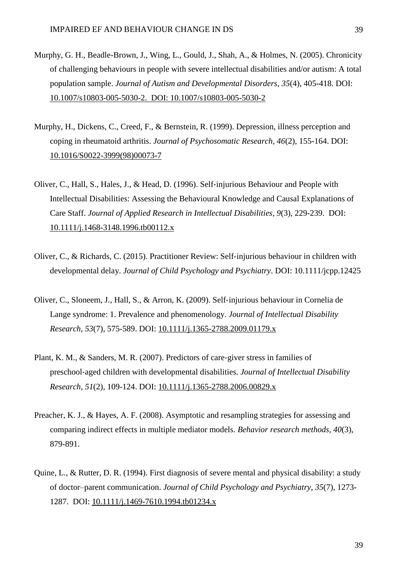- Murphy, G. H., Beadle-Brown, J., Wing, L., Gould, J., Shah, A., & Holmes, N. (2005). Chronicity of challenging behaviours in people with severe intellectual disabilities and/or autism: A total population sample. *Journal of Autism and Developmental Disorders*, *35*(4), 405-418. DOI: 10.1007/s10803-005-5030-2. DOI: 10.1007/s10803-005-5030-2
- Murphy, H., Dickens, C., Creed, F., & Bernstein, R. (1999). Depression, illness perception and coping in rheumatoid arthritis. *Journal of Psychosomatic Research*, *46*(2), 155-164. DOI: 10.1016/S0022-3999(98)00073-7
- Oliver, C., Hall, S., Hales, J., & Head, D. (1996). Self‐injurious Behaviour and People with Intellectual Disabilities: Assessing the Behavioural Knowledge and Causal Explanations of Care Staff. *Journal of Applied Research in Intellectual Disabilities*, *9*(3), 229-239. DOI: 10.1111/j.1468-3148.1996.tb00112.x
- Oliver, C., & Richards, C. (2015). Practitioner Review: Self‐injurious behaviour in children with developmental delay. *Journal of Child Psychology and Psychiatry*. DOI: 10.1111/jcpp.12425
- Oliver, C., Sloneem, J., Hall, S., & Arron, K. (2009). Self‐injurious behaviour in Cornelia de Lange syndrome: 1. Prevalence and phenomenology. *Journal of Intellectual Disability Research*, *53*(7), 575-589. DOI: 10.1111/j.1365-2788.2009.01179.x
- Plant, K. M., & Sanders, M. R. (2007). Predictors of care‐giver stress in families of preschool‐aged children with developmental disabilities. *Journal of Intellectual Disability Research*, *51*(2), 109-124. DOI: 10.1111/j.1365-2788.2006.00829.x
- Preacher, K. J., & Hayes, A. F. (2008). Asymptotic and resampling strategies for assessing and comparing indirect effects in multiple mediator models. *Behavior research methods*, *40*(3), 879-891.
- Quine, L., & Rutter, D. R. (1994). First diagnosis of severe mental and physical disability: a study of doctor–parent communication. *Journal of Child Psychology and Psychiatry*, *35*(7), 1273- 1287. DOI: 10.1111/j.1469-7610.1994.tb01234.x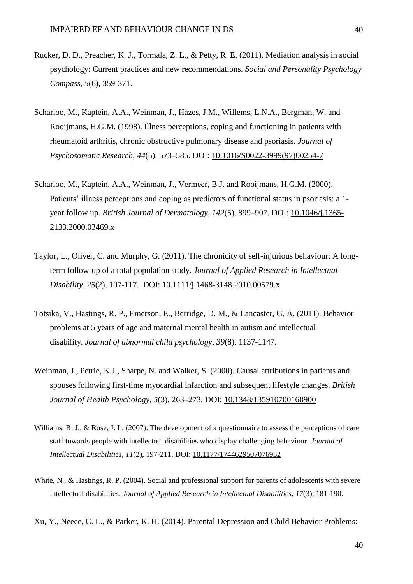- Rucker, D. D., Preacher, K. J., Tormala, Z. L., & Petty, R. E. (2011). Mediation analysis in social psychology: Current practices and new recommendations. *Social and Personality Psychology Compass*, *5*(6), 359-371.
- Scharloo, M., Kaptein, A.A., Weinman, J., Hazes, J.M., Willems, L.N.A., Bergman, W. and Rooijmans, H.G.M. (1998). Illness perceptions, coping and functioning in patients with rheumatoid arthritis, chronic obstructive pulmonary disease and psoriasis. *Journal of Psychosomatic Research, 44*(5), 573–585. DOI: 10.1016/S0022-3999(97)00254-7
- Scharloo, M., Kaptein, A.A., Weinman, J., Vermeer, B.J. and Rooijmans, H.G.M. (2000). Patients' illness perceptions and coping as predictors of functional status in psoriasis: a 1 year follow up. *British Journal of Dermatology, 142*(5), 899–907. DOI: 10.1046/j.1365- 2133.2000.03469.x
- Taylor, L., Oliver, C. and Murphy, G. (2011). The chronicity of self-injurious behaviour: A longterm follow-up of a total population study. *Journal of Applied Research in Intellectual Disability, 25*(2), 107-117. DOI: 10.1111/j.1468-3148.2010.00579.x
- Totsika, V., Hastings, R. P., Emerson, E., Berridge, D. M., & Lancaster, G. A. (2011). Behavior problems at 5 years of age and maternal mental health in autism and intellectual disability. *Journal of abnormal child psychology*, *39*(8), 1137-1147.
- Weinman, J., Petrie, K.J., Sharpe, N. and Walker, S. (2000). Causal attributions in patients and spouses following first-time myocardial infarction and subsequent lifestyle changes. *British Journal of Health Psychology, 5*(3), 263–273. DOI: 10.1348/135910700168900
- Williams, R. J., & Rose, J. L. (2007). The development of a questionnaire to assess the perceptions of care staff towards people with intellectual disabilities who display challenging behaviour. *Journal of Intellectual Disabilities*, *11*(2), 197-211. DOI: 10.1177/1744629507076932
- White, N., & Hastings, R. P. (2004). Social and professional support for parents of adolescents with severe intellectual disabilities. *Journal of Applied Research in Intellectual Disabilities*, *17*(3), 181-190.
- Xu, Y., Neece, C. L., & Parker, K. H. (2014). Parental Depression and Child Behavior Problems: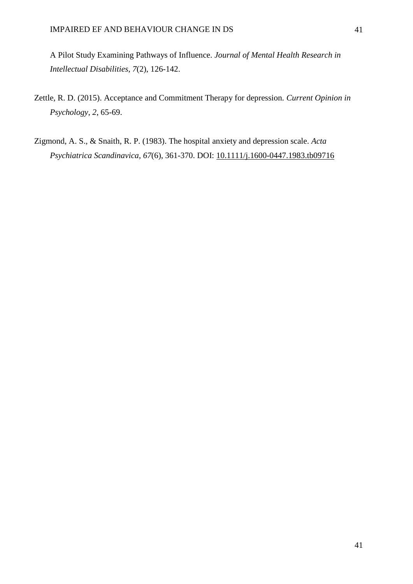A Pilot Study Examining Pathways of Influence. *Journal of Mental Health Research in Intellectual Disabilities*, *7*(2), 126-142.

- Zettle, R. D. (2015). Acceptance and Commitment Therapy for depression. *Current Opinion in Psychology*, *2*, 65-69.
- Zigmond, A. S., & Snaith, R. P. (1983). The hospital anxiety and depression scale. *Acta Psychiatrica Scandinavica*, *67*(6), 361-370. DOI: 10.1111/j.1600-0447.1983.tb09716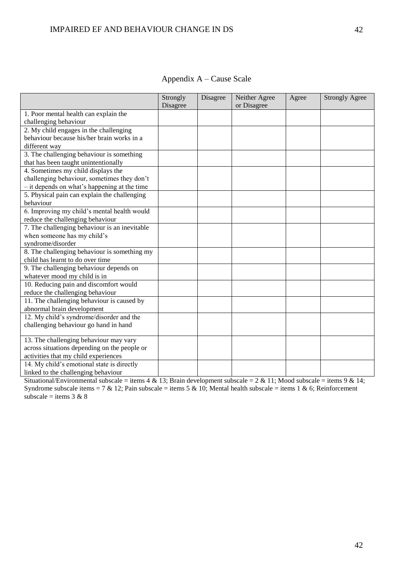|                                                | Strongly | Disagree | Neither Agree | Agree | <b>Strongly Agree</b> |
|------------------------------------------------|----------|----------|---------------|-------|-----------------------|
|                                                | Disagree |          | or Disagree   |       |                       |
| 1. Poor mental health can explain the          |          |          |               |       |                       |
| challenging behaviour                          |          |          |               |       |                       |
| 2. My child engages in the challenging         |          |          |               |       |                       |
| behaviour because his/her brain works in a     |          |          |               |       |                       |
| different way                                  |          |          |               |       |                       |
| 3. The challenging behaviour is something      |          |          |               |       |                       |
| that has been taught unintentionally           |          |          |               |       |                       |
| 4. Sometimes my child displays the             |          |          |               |       |                       |
| challenging behaviour, sometimes they don't    |          |          |               |       |                       |
| $-$ it depends on what's happening at the time |          |          |               |       |                       |
| 5. Physical pain can explain the challenging   |          |          |               |       |                       |
| behaviour                                      |          |          |               |       |                       |
| 6. Improving my child's mental health would    |          |          |               |       |                       |
| reduce the challenging behaviour               |          |          |               |       |                       |
| 7. The challenging behaviour is an inevitable  |          |          |               |       |                       |
| when someone has my child's                    |          |          |               |       |                       |
| syndrome/disorder                              |          |          |               |       |                       |
| 8. The challenging behaviour is something my   |          |          |               |       |                       |
| child has learnt to do over time               |          |          |               |       |                       |
| 9. The challenging behaviour depends on        |          |          |               |       |                       |
| whatever mood my child is in                   |          |          |               |       |                       |
| 10. Reducing pain and discomfort would         |          |          |               |       |                       |
| reduce the challenging behaviour               |          |          |               |       |                       |
| 11. The challenging behaviour is caused by     |          |          |               |       |                       |
| abnormal brain development                     |          |          |               |       |                       |
| 12. My child's syndrome/disorder and the       |          |          |               |       |                       |
| challenging behaviour go hand in hand          |          |          |               |       |                       |
|                                                |          |          |               |       |                       |
| 13. The challenging behaviour may vary         |          |          |               |       |                       |
| across situations depending on the people or   |          |          |               |       |                       |
| activities that my child experiences           |          |          |               |       |                       |
| 14. My child's emotional state is directly     |          |          |               |       |                       |
| linked to the challenging behaviour            |          |          |               |       |                       |

Appendix A – Cause Scale

Situational/Environmental subscale = items  $4 \& 13$ ; Brain development subscale =  $2 \& 11$ ; Mood subscale = items  $9 \& 14$ ; Syndrome subscale items = 7 & 12; Pain subscale = items 5 & 10; Mental health subscale = items 1 & 6; Reinforcement subscale = items  $3 & 8$